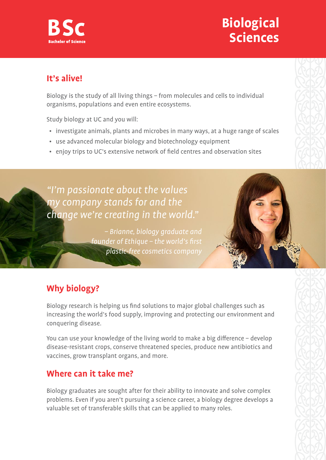# **Biological Sciences**

## **It's alive!**

Biology is the study of all living things – from molecules and cells to individual organisms, populations and even entire ecosystems.

Study biology at UC and you will:

- investigate animals, plants and microbes in many ways, at a huge range of scales
- use advanced molecular biology and biotechnology equipment
- enjoy trips to UC's extensive network of field centres and observation sites

# "I'm passionate about the values my company stands for and the change we're creating in the world."

– Brianne, biology graduate and founder of Ethique – the world's first plastic-free cosmetics company



# **Why biology?**

Biology research is helping us find solutions to major global challenges such as increasing the world's food supply, improving and protecting our environment and conquering disease.

You can use your knowledge of the living world to make a big difference – develop disease-resistant crops, conserve threatened species, produce new antibiotics and vaccines, grow transplant organs, and more.

# **Where can it take me?**

Biology graduates are sought after for their ability to innovate and solve complex problems. Even if you aren't pursuing a science career, a biology degree develops a valuable set of transferable skills that can be applied to many roles.